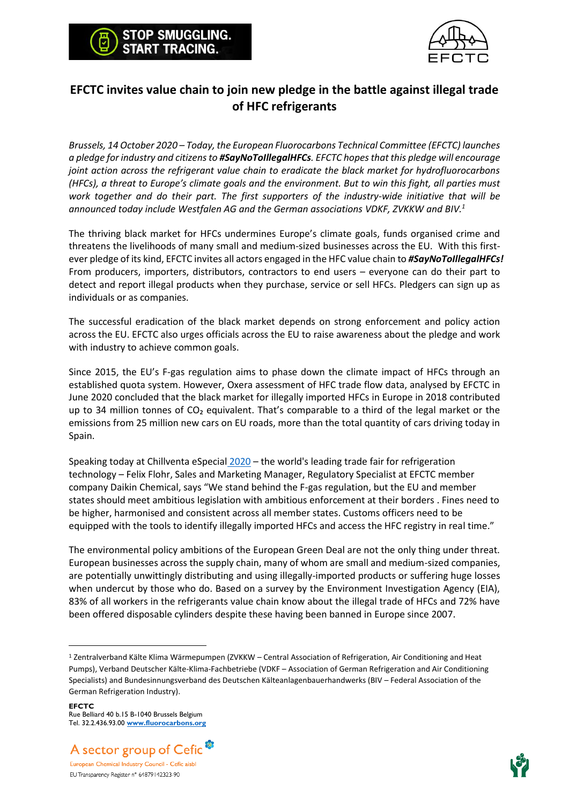



## **EFCTC invites value chain to join new pledge in the battle against illegal trade of HFC refrigerants**

*Brussels, 14 October 2020 – Today, the European Fluorocarbons Technical Committee (EFCTC) launches a pledge for industry and citizens to #SayNoToIllegalHFCs. EFCTC hopes that this pledge will encourage joint action across the refrigerant value chain to eradicate the black market for hydrofluorocarbons (HFCs), a threat to Europe's climate goals and the environment. But to win this fight, all parties must work together and do their part. The first supporters of the industry-wide initiative that will be announced today include Westfalen AG and the German associations VDKF, ZVKKW and BIV.<sup>1</sup>*

The thriving black market for HFCs undermines Europe's climate goals, funds organised crime and threatens the livelihoods of many small and medium-sized businesses across the EU. With this firstever pledge of its kind, EFCTC invites all actors engaged in the HFC value chain to *#SayNoToIllegalHFCs!* From producers, importers, distributors, contractors to end users – everyone can do their part to detect and report illegal products when they purchase, service or sell HFCs. Pledgers can sign up as individuals or as companies.

The successful eradication of the black market depends on strong enforcement and policy action across the EU. EFCTC also urges officials across the EU to raise awareness about the pledge and work with industry to achieve common goals.

Since 2015, the EU's F-gas regulation aims to phase down the climate impact of HFCs through an established quota system. However, Oxera assessment of HFC trade flow data, analysed by EFCTC in June 2020 concluded that the black market for illegally imported HFCs in Europe in 2018 contributed up to 34 million tonnes of  $CO<sub>2</sub>$  equivalent. That's comparable to a third of the legal market or the emissions from 25 million new cars on EU roads, more than the total quantity of cars driving today in Spain.

Speaking today at [Chillventa eSpecial](https://www.chillventa.de/) 2020 – the world's leading trade fair for refrigeration technology – Felix Flohr, Sales and Marketing Manager, Regulatory Specialist at EFCTC member company Daikin Chemical, says "We stand behind the F-gas regulation, but the EU and member states should meet ambitious legislation with ambitious enforcement at their borders . Fines need to be higher, harmonised and consistent across all member states. Customs officers need to be equipped with the tools to identify illegally imported HFCs and access the HFC registry in real time."

The environmental policy ambitions of the European Green Deal are not the only thing under threat. European businesses across the supply chain, many of whom are small and medium-sized companies, are potentially unwittingly distributing and using illegally-imported products or suffering huge losses when undercut by those who do. Based on a survey by the Environment Investigation Agency (EIA), 83% of all workers in the refrigerants value chain know about the illegal trade of HFCs and 72% have been offered disposable cylinders despite these having been banned in Europe since 2007.

**EFCTC** Rue Belliard 40 b.15 B-1040 Brussels Belgium Tel. 32.2.436.93.00 **[www.fluorocarbons.org](http://www.fluorocarbons.org/)**





<sup>1</sup> Zentralverband Kälte Klima Wärmepumpen (ZVKKW – Central Association of Refrigeration, Air Conditioning and Heat Pumps), Verband Deutscher Kälte-Klima-Fachbetriebe (VDKF – Association of German Refrigeration and Air Conditioning Specialists) and Bundesinnungsverband des Deutschen Kälteanlagenbauerhandwerks (BIV – Federal Association of the German Refrigeration Industry).